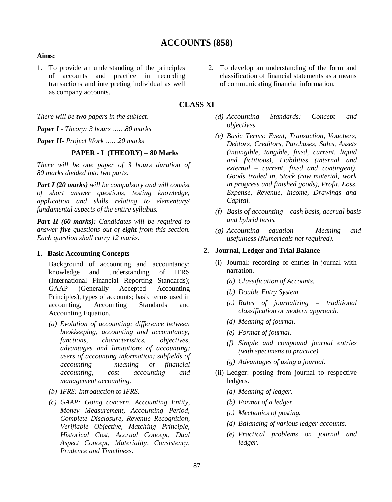# **ACCOUNTS (858)**

#### **Aims:**

- 1. To provide an understanding of the principles of accounts and practice in recording transactions and interpreting individual as well as company accounts.
- *There will be two papers in the subject.*

*Paper I - Theory: 3 hours ……80 marks*

*Paper II- Project Work ……20 marks*

### **PAPER - I (THEORY) – 80 Marks**

*There will be one paper of 3 hours duration of 80 marks divided into two parts.*

*Part I (20 marks) will be compulsory and will consist of short answer questions, testing knowledge, application and skills relating to elementary/ fundamental aspects of the entire syllabus.*

*Part II (60 marks): Candidates will be required to answer five questions out of eight from this section. Each question shall carry 12 marks.*

#### **1. Basic Accounting Concepts**

Background of accounting and accountancy: knowledge and understanding of IFRS (International Financial Reporting Standards); GAAP (Generally Accepted Accounting Principles), types of accounts; basic terms used in accounting, Accounting Standards and Accounting Equation.

- *(a) Evolution of accounting; difference between bookkeeping, accounting and accountancy; functions, characteristics, objectives, advantages and limitations of accounting; users of accounting information; subfields of accounting - meaning of financial accounting, cost accounting and management accounting.*
- *(b) IFRS: Introduction to IFRS.*
- *(c) GAAP: Going concern, Accounting Entity, Money Measurement, Accounting Period, Complete Disclosure, Revenue Recognition, Verifiable Objective, Matching Principle, Historical Cost, Accrual Concept, Dual Aspect Concept, Materiality, Consistency, Prudence and Timeliness.*

2. To develop an understanding of the form and classification of financial statements as a means of communicating financial information.

## **CLASS XI**

- *(d) Accounting Standards: Concept and objectives.*
- *(e) Basic Terms: Event, Transaction, Vouchers, Debtors, Creditors, Purchases, Sales, Assets (intangible, tangible, fixed, current, liquid and fictitious), Liabilities (internal and external – current, fixed and contingent), Goods traded in, Stock (raw material, work in progress and finished goods), Profit, Loss, Expense, Revenue, Income, Drawings and Capital.*
- *(f) Basis of accounting cash basis, accrual basis and hybrid basis.*
- *(g) Accounting equation Meaning and usefulness (Numericals not required).*

#### **2. Journal, Ledger and Trial Balance**

- (i) Journal: recording of entries in journal with narration.
	- *(a) Classification of Accounts.*
	- *(b) Double Entry System.*
	- *(c) Rules of journalizing traditional classification or modern approach.*
	- *(d) Meaning of journal.*
	- *(e) Format of journal.*
	- *(f) Simple and compound journal entries (with specimens to practice).*
	- *(g) Advantages of using a journal.*
- (ii) Ledger: posting from journal to respective ledgers.
	- *(a) Meaning of ledger.*
	- *(b) Format of a ledger.*
	- *(c) Mechanics of posting.*
	- *(d) Balancing of various ledger accounts.*
	- *(e) Practical problems on journal and ledger.*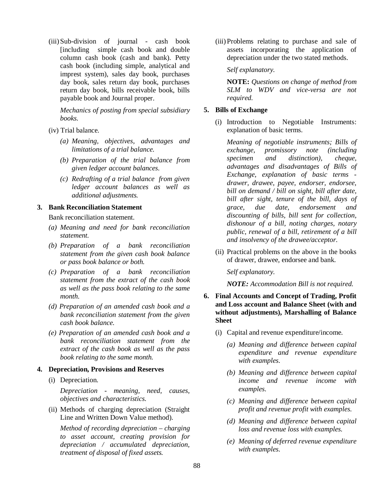(iii) Sub-division of journal - cash book [including simple cash book and double column cash book (cash and bank). Petty cash book (including simple, analytical and imprest system), sales day book, purchases day book, sales return day book, purchases return day book, bills receivable book, bills payable book and Journal proper.

*Mechanics of posting from special subsidiary books.*

(iv) Trial balance.

- *(a) Meaning, objectives, advantages and limitations of a trial balance.*
- *(b) Preparation of the trial balance from given ledger account balances.*
- *(c) Redrafting of a trial balance from given ledger account balances as well as additional adjustments.*

**3. Bank Reconciliation Statement**

Bank reconciliation statement.

- *(a) Meaning and need for bank reconciliation statement.*
- *(b) Preparation of a bank reconciliation statement from the given cash book balance or pass book balance or both.*
- *(c) Preparation of a bank reconciliation statement from the extract of the cash book as well as the pass book relating to the same month.*
- *(d) Preparation of an amended cash book and a bank reconciliation statement from the given cash book balance.*
- *(e) Preparation of an amended cash book and a bank reconciliation statement from the extract of the cash book as well as the pass book relating to the same month.*

### **4. Depreciation, Provisions and Reserves**

(i) Depreciation.

*Depreciation - meaning, need, causes, objectives and characteristics.*

(ii) Methods of charging depreciation (Straight Line and Written Down Value method).

*Method of recording depreciation – charging to asset account, creating provision for depreciation / accumulated depreciation, treatment of disposal of fixed assets.*

(iii) Problems relating to purchase and sale of assets incorporating the application of depreciation under the two stated methods.

*Self explanatory.*

**NOTE:** *Questions on change of method from SLM to WDV and vice-versa are not required.*

### **5. Bills of Exchange**

(i) Introduction to Negotiable Instruments: explanation of basic terms.

*Meaning of negotiable instruments; Bills of exchange, promissory note (including specimen and distinction), cheque, advantages and disadvantages of Bills of Exchange, explanation of basic terms drawer, drawee, payee, endorser, endorsee, bill on demand / bill on sight, bill after date, bill after sight, tenure of the bill, days of grace, due date, endorsement and discounting of bills, bill sent for collection, dishonour of a bill, noting charges, notary public, renewal of a bill, retirement of a bill and insolvency of the drawee/acceptor.*

(ii) Practical problems on the above in the books of drawer, drawee, endorsee and bank.

*Self explanatory.*

*NOTE: Accommodation Bill is not required.*

- **6. Final Accounts and Concept of Trading, Profit and Loss account and Balance Sheet (with and without adjustments), Marshalling of Balance Sheet**
	- (i) Capital and revenue expenditure/income.
		- *(a) Meaning and difference between capital expenditure and revenue expenditure with examples.*
		- *(b) Meaning and difference between capital income and revenue income with examples.*
		- *(c) Meaning and difference between capital profit and revenue profit with examples.*
		- *(d) Meaning and difference between capital loss and revenue loss with examples.*
		- *(e) Meaning of deferred revenue expenditure with examples.*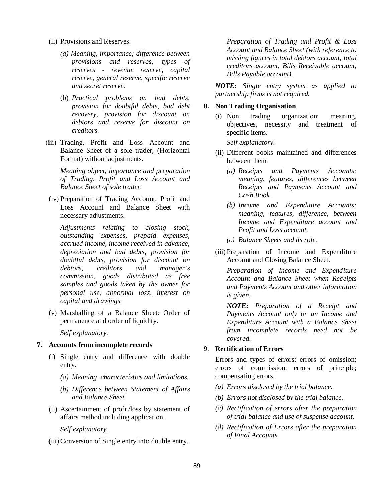- (ii) Provisions and Reserves.
	- *(a) Meaning, importance; difference between provisions and reserves; types of reserves - revenue reserve, capital reserve, general reserve, specific reserve and secret reserve.*
	- (b) *Practical problems on bad debts, provision for doubtful debts, bad debt recovery, provision for discount on debtors and reserve for discount on creditors.*
- (iii) Trading, Profit and Loss Account and Balance Sheet of a sole trader, (Horizontal Format) without adjustments.

*Meaning object, importance and preparation of Trading, Profit and Loss Account and Balance Sheet of sole trader.*

(iv) Preparation of Trading Account, Profit and Loss Account and Balance Sheet with necessary adjustments.

*Adjustments relating to closing stock, outstanding expenses, prepaid expenses, accrued income, income received in advance, depreciation and bad debts, provision for doubtful debts, provision for discount on debtors, creditors and manager's commission, goods distributed as free samples and goods taken by the owner for personal use, abnormal loss, interest on capital and drawings.*

(v) Marshalling of a Balance Sheet: Order of permanence and order of liquidity.

*Self explanatory.*

#### **7. Accounts from incomplete records**

- (i) Single entry and difference with double entry.
	- *(a) Meaning, characteristics and limitations.*
	- *(b) Difference between Statement of Affairs and Balance Sheet.*
- (ii) Ascertainment of profit/loss by statement of affairs method including application.

*Self explanatory.*

(iii) Conversion of Single entry into double entry.

*Preparation of Trading and Profit & Loss Account and Balance Sheet (with reference to missing figures in total debtors account, total creditors account, Bills Receivable account, Bills Payable account).*

*NOTE: Single entry system as applied to partnership firms is not required.*

#### **8. Non Trading Organisation**

(i) Non trading organization: meaning, objectives, necessity and treatment of specific items.

*Self explanatory.*

- (ii) Different books maintained and differences between them.
	- *(a) Receipts and Payments Accounts: meaning, features, differences between Receipts and Payments Account and Cash Book.*
	- *(b) Income and Expenditure Accounts: meaning, features, difference, between Income and Expenditure account and Profit and Loss account.*
	- *(c) Balance Sheets and its role.*
- (iii) Preparation of Income and Expenditure Account and Closing Balance Sheet.

*Preparation of Income and Expenditure Account and Balance Sheet when Receipts and Payments Account and other information is given.*

*NOTE: Preparation of a Receipt and Payments Account only or an Income and Expenditure Account with a Balance Sheet from incomplete records need not be covered.*

### **9**. **Rectification of Errors**

Errors and types of errors: errors of omission; errors of commission; errors of principle; compensating errors.

- *(a) Errors disclosed by the trial balance.*
- *(b) Errors not disclosed by the trial balance.*
- *(c) Rectification of errors after the preparation of trial balance and use of suspense account.*
- *(d) Rectification of Errors after the preparation of Final Accounts.*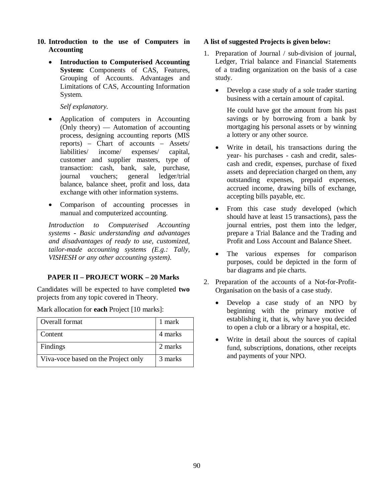- **10. Introduction to the use of Computers in Accounting**
	- **Introduction to Computerised Accounting System:** Components of CAS, Features, Grouping of Accounts. Advantages and Limitations of CAS, Accounting Information System.

### *Self explanatory.*

- Application of computers in Accounting (Only theory) — Automation of accounting process, designing accounting reports (MIS reports) – Chart of accounts – Assets/ liabilities/ income/ expenses/ capital, customer and supplier masters, type of transaction: cash, bank, sale, purchase, journal vouchers; general ledger/trial balance, balance sheet, profit and loss, data exchange with other information systems.
- Comparison of accounting processes in manual and computerized accounting.

*Introduction to Computerised Accounting systems - Basic understanding and advantages and disadvantages of ready to use, customized, tailor-made accounting systems (E.g.: Tally, VISHESH or any other accounting system).*

### **PAPER II – PROJECT WORK – 20 Marks**

Candidates will be expected to have completed **two** projects from any topic covered in Theory.

Mark allocation for **each** Project [10 marks]:

| Overall format                      | 1 mark  |
|-------------------------------------|---------|
| Content                             | 4 marks |
| Findings                            | 2 marks |
| Viva-voce based on the Project only | 3 marks |

### **A list of suggested Projects is given below:**

- 1. Preparation of Journal / sub-division of journal, Ledger, Trial balance and Financial Statements of a trading organization on the basis of a case study.
	- Develop a case study of a sole trader starting business with a certain amount of capital.

He could have got the amount from his past savings or by borrowing from a bank by mortgaging his personal assets or by winning a lottery or any other source.

- Write in detail, his transactions during the year- his purchases - cash and credit, salescash and credit, expenses, purchase of fixed assets and depreciation charged on them, any outstanding expenses, prepaid expenses, accrued income, drawing bills of exchange, accepting bills payable, etc.
- From this case study developed (which should have at least 15 transactions), pass the journal entries, post them into the ledger, prepare a Trial Balance and the Trading and Profit and Loss Account and Balance Sheet.
- The various expenses for comparison purposes, could be depicted in the form of bar diagrams and pie charts.
- 2. Preparation of the accounts of a Not-for-Profit-Organisation on the basis of a case study.
	- Develop a case study of an NPO by beginning with the primary motive of establishing it, that is, why have you decided to open a club or a library or a hospital, etc.
	- Write in detail about the sources of capital fund, subscriptions, donations, other receipts and payments of your NPO.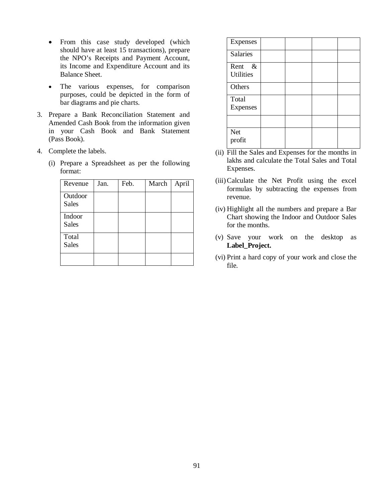- From this case study developed (which should have at least 15 transactions), prepare the NPO's Receipts and Payment Account, its Income and Expenditure Account and its Balance Sheet.
- The various expenses, for comparison purposes, could be depicted in the form of bar diagrams and pie charts.
- 3. Prepare a Bank Reconciliation Statement and Amended Cash Book from the information given in your Cash Book and Bank Statement (Pass Book).
- 4. Complete the labels.
	- (i) Prepare a Spreadsheet as per the following format:

| Revenue                 | Jan. | Feb. | March | April |
|-------------------------|------|------|-------|-------|
| Outdoor<br><b>Sales</b> |      |      |       |       |
| Indoor<br><b>Sales</b>  |      |      |       |       |
| Total<br><b>Sales</b>   |      |      |       |       |
|                         |      |      |       |       |

| Expenses                      |  |  |
|-------------------------------|--|--|
| <b>Salaries</b>               |  |  |
| Rent $\&$<br><b>Utilities</b> |  |  |
| Others                        |  |  |
| Total<br>Expenses             |  |  |
|                               |  |  |
| <b>Net</b><br>profit          |  |  |

- (ii) Fill the Sales and Expenses for the months in lakhs and calculate the Total Sales and Total Expenses.
- (iii)Calculate the Net Profit using the excel formulas by subtracting the expenses from revenue.
- (iv) Highlight all the numbers and prepare a Bar Chart showing the Indoor and Outdoor Sales for the months.
- (v) Save your work on the desktop as **Label\_Project.**
- (vi) Print a hard copy of your work and close the file.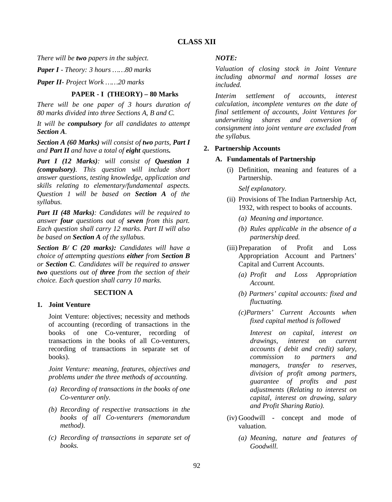*There will be two papers in the subject.*

*Paper I - Theory: 3 hours ……80 marks*

*Paper II*- *Project Work ……20 marks*

## **PAPER - I (THEORY) – 80 Marks**

*There will be one paper of 3 hours duration of 80 marks divided into three Sections A, B and C.*

*It will be compulsory for all candidates to attempt Section A.*

*Section A (60 Marks) will consist of two parts, Part I and Part II and have a total of eight questions.*

*Part I (12 Marks): will consist of Question 1 (compulsory). This question will include short answer questions, testing knowledge, application and skills relating to elementary/fundamental aspects. Question 1 will be based on Section A of the syllabus.*

*Part II (48 Marks): Candidates will be required to answer four questions out of seven from this part. Each question shall carry 12 marks. Part II will also be based on Section A of the syllabus.*

*Section B/ C (20 marks): Candidates will have a choice of attempting questions either from Section B or Section C. Candidates will be required to answer two questions out of three from the section of their choice. Each question shall carry 10 marks.*

## **SECTION A**

### **1. Joint Venture**

Joint Venture: objectives; necessity and methods of accounting (recording of transactions in the books of one Co-venturer, recording of transactions in the books of all Co*-*venturers, recording of transactions in separate set of books).

*Joint Venture: meaning, features, objectives and problems under the three methods of accounting.*

- *(a) Recording of transactions in the books of one Co-venturer only.*
- *(b) Recording of respective transactions in the books of all Co-venturers (memorandum method).*
- *(c) Recording of transactions in separate set of books.*

### *NOTE:*

*Valuation of closing stock in Joint Venture including abnormal and normal losses are included.*

*Interim settlement of accounts, interest calculation, incomplete ventures on the date of final settlement of accounts, Joint Ventures for underwriting shares and conversion of consignment into joint venture are excluded from the syllabus.* 

### **2. Partnership Accounts**

### **A. Fundamentals of Partnership**

(i) Definition, meaning and features of a Partnership.

*Self explanatory.* 

- (ii) Provisions of The Indian Partnership Act, 1932, with respect to books of accounts.
	- *(a) Meaning and importance.*
	- *(b) Rules applicable in the absence of a partnership deed.*
- (iii) Preparation of Profit and Loss Appropriation Account and Partners' Capital and Current Accounts.
	- *(a) Profit and Loss Appropriation Account.*
	- *(b) Partners' capital accounts: fixed and fluctuating.*
	- *(c)Partners' Current Accounts when fixed capital method is followed*

*Interest on capital, interest on drawings, interest on current accounts ( debit and credit) salary, commission to partners and managers, transfer to reserves, division of profit among partners, guarantee of profits and past adjustments* (*Relating to interest on capital, interest on drawing, salary and Profit Sharing Ratio).*

- (iv) Goodwill concept and mode of valuation.
	- *(a) Meaning, nature and features of Goodwill.*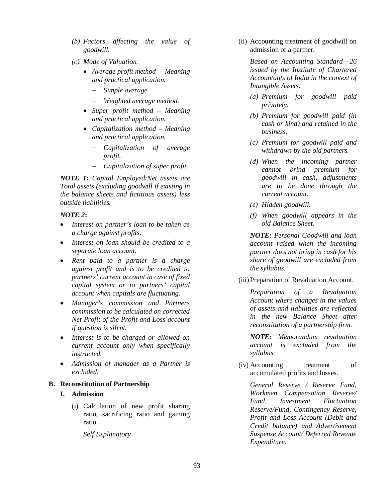- *(b) Factors affecting the value of goodwill.*
- *(c) Mode of Valuation.*
	- *Average profit method Meaning and practical application.*
		- *Simple average.*
		- *Weighted average method.*
	- *Super profit method Meaning and practical application.*
	- *Capitalization method Meaning and practical application.*
		- *Capitalization of average profit.*
		- *Capitalization of super profit.*

*NOTE 1***:** *Capital Employed/Net assets are Total assets (excluding goodwill if existing in the balance sheets and fictitious assets) less outside liabilities.* 

### *NOTE 2***:**

- *Interest on partner's loan to be taken as a charge against profits.*
- *Interest on loan should be credited to a separate loan account.*
- *Rent paid to a partner is a charge against profit and is to be credited to partners' current account in case of fixed capital system or to partners' capital account when capitals are fluctuating.*
- *Manager's commission and Partners commission to be calculated on corrected Net Profit of the Profit and Loss account if question is silent.*
- *Interest is to be charged or allowed on current account only when specifically instructed.*
- *Admission of manager as a Partner is excluded.*

## **B. Reconstitution of Partnership**

### **I. Admission**

(i) Calculation of new profit sharing ratio, sacrificing ratio and gaining ratio.

*Self Explanatory* 

(ii) Accounting treatment of goodwill on admission of a partner.

*Based on Accounting Standard –26 issued by the Institute of Chartered Accountants of India in the context of Intangible Assets.*

- *(a) Premium for goodwill paid privately.*
- *(b) Premium for goodwill paid (in cash or kind) and retained in the business.*
- *(c) Premium for goodwill paid and withdrawn by the old partners.*
- *(d) When the incoming partner cannot bring premium for goodwill in cash, adjustments are to be done through the current account.*
- *(e) Hidden goodwill.*
- *(f) When goodwill appears in the old Balance Sheet.*

*NOTE: Personal Goodwill and loan account raised when the incoming partner does not bring in cash for his share of goodwill are excluded from the syllabus.*

(iii) Preparation of Revaluation Account.

*Preparation of a Revaluation Account where changes in the values of assets and liabilities are reflected in the new Balance Sheet after reconstitution of a partnership firm.*

*NOTE: Memorandum revaluation account is excluded from the syllabus.*

(iv) Accounting treatment of accumulated profits and losses.

> *General Reserve / Reserve Fund, Workmen Compensation Reserve/ Fund, Investment Fluctuation Reserve/Fund, Contingency Reserve, Profit and Loss Account (Debit and Credit balance) and Advertisement Suspense Account/ Deferred Revenue Expenditure.*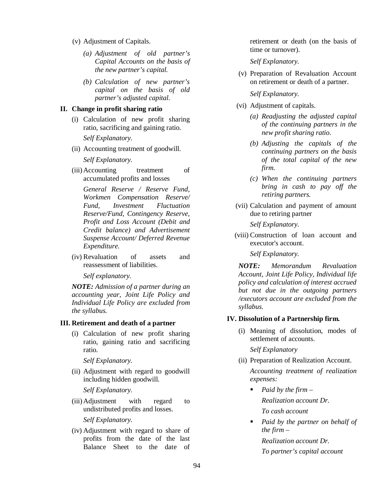- (v) Adjustment of Capitals.
	- *(a) Adjustment of old partner's Capital Accounts on the basis of the new partner's capital.*
	- *(b) Calculation of new partner's capital on the basis of old partner's adjusted capital.*

### **II. Change in profit sharing ratio**

- (i) Calculation of new profit sharing ratio, sacrificing and gaining ratio. *Self Explanatory.*
- (ii) Accounting treatment of goodwill.

*Self Explanatory.*

(iii) Accounting treatment of accumulated profits and losses

*General Reserve / Reserve Fund, Workmen Compensation Reserve/ Fund, Investment Fluctuation Reserve/Fund, Contingency Reserve, Profit and Loss Account (Debit and Credit balance) and Advertisement Suspense Account/ Deferred Revenue Expenditure.* 

(iv) Revaluation of assets and reassessment of liabilities.

*Self explanatory.*

*NOTE: Admission of a partner during an accounting year, Joint Life Policy and Individual Life Policy are excluded from the syllabus.* 

### **III. Retirement and death of a partner**

(i) Calculation of new profit sharing ratio, gaining ratio and sacrificing ratio.

*Self Explanatory.* 

(ii) Adjustment with regard to goodwill including hidden goodwill*.*

*Self Explanatory.* 

(iii) Adjustment with regard to undistributed profits and losses.

*Self Explanatory.*

(iv) Adjustment with regard to share of profits from the date of the last Balance Sheet to the date of retirement or death (on the basis of time or turnover).

*Self Explanatory.*

(v) Preparation of Revaluation Account on retirement or death of a partner.

*Self Explanatory.*

- (vi) Adjustment of capitals.
	- *(a) Readjusting the adjusted capital of the continuing partners in the new profit sharing ratio.*
	- *(b) Adjusting the capitals of the continuing partners on the basis of the total capital of the new firm.*
	- *(c) When the continuing partners bring in cash to pay off the retiring partners.*
- (vii) Calculation and payment of amount due to retiring partner

*Self Explanatory.*

 (viii) Construction of loan account and executor's account.

*Self Explanatory.*

*NOTE: Memorandum Revaluation Account, Joint Life Policy, Individual life policy and calculation of interest accrued but not due in the outgoing partners /executors account are excluded from the syllabus.*

#### **IV. Dissolution of a Partnership firm.**

(i) Meaning of dissolution, modes of settlement of accounts.

*Self Explanatory*

- (ii) Preparation of Realization Account. *Accounting treatment of realization expenses:*
	- *Paid by the firm – Realization account Dr. To cash account*
	- *Paid by the partner on behalf of the firm –*

*Realization account Dr. To partner's capital account*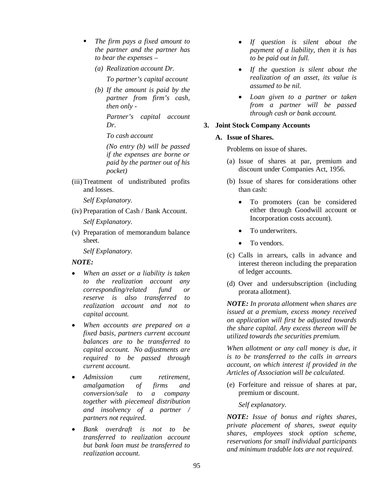- *The firm pays a fixed amount to the partner and the partner has to bear the expenses –*
	- *(a) Realization account Dr. To partner's capital account*
	- *(b) If the amount is paid by the partner from firm's cash, then only -*

*Partner's capital account Dr.*

*To cash account* 

*(No entry (b) will be passed if the expenses are borne or paid by the partner out of his pocket)*

(iii)Treatment of undistributed profits and losses.

*Self Explanatory.*

- (iv) Preparation of Cash / Bank Account. *Self Explanatory.*
- (v) Preparation of memorandum balance sheet.

*Self Explanatory.*

## *NOTE:*

- *When an asset or a liability is taken to the realization account any corresponding/related fund or reserve is also transferred to realization account and not to capital account.*
- *When accounts are prepared on a fixed basis, partners current account balances are to be transferred to capital account. No adjustments are required to be passed through current account.*
- *Admission cum retirement, amalgamation of firms and conversion/sale to a company together with piecemeal distribution and insolvency of a partner / partners not required.*
- *Bank overdraft is not to be transferred to realization account but bank loan must be transferred to realization account.*
- *If question is silent about the payment of a liability, then it is has to be paid out in full.*
- *If the question is silent about the realization of an asset, its value is assumed to be nil.*
- *Loan given to a partner or taken from a partner will be passed through cash or bank account.*

## **3. Joint Stock Company Accounts**

## **A. Issue of Shares.**

Problems on issue of shares.

- (a) Issue of shares at par, premium and discount under Companies Act, 1956.
- (b) Issue of shares for considerations other than cash:
	- To promoters (can be considered either through Goodwill account or Incorporation costs account).
	- To underwriters.
	- To vendors.
- (c) Calls in arrears, calls in advance and interest thereon including the preparation of ledger accounts.
- (d) Over and undersubscription (including prorata allotment).

*NOTE: In prorata allotment when shares are issued at a premium, excess money received on application will first be adjusted towards the share capital. Any excess thereon will be utilized towards the securities premium.*

*When allotment or any call money is due, it is to be transferred to the calls in arrears account, on which interest if provided in the Articles of Association will be calculated.* 

(e) Forfeiture and reissue of shares at par, premium or discount.

*Self explanatory.*

*NOTE: Issue of bonus and rights shares, private placement of shares, sweat equity shares, employees stock option scheme, reservations for small individual participants and minimum tradable lots are not required.*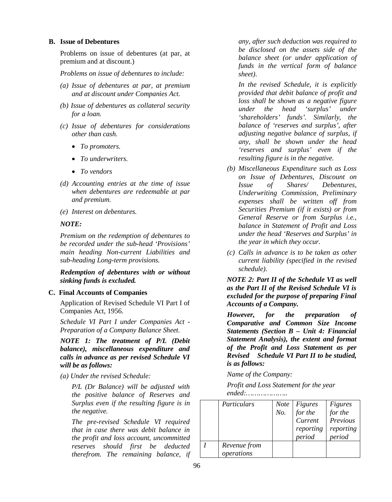#### **B. Issue of Debentures**

Problems on issue of debentures (at par, at premium and at discount.)

*Problems on issue of debentures to include:*

- *(a) Issue of debentures at par, at premium and at discount under Companies Act.*
- *(b) Issue of debentures as collateral security for a loan.*
- *(c) Issue of debentures for considerations other than cash.*
	- *To promoters.*
	- *To underwriters.*
	- *To vendors*
- *(d) Accounting entries at the time of issue when debentures are redeemable at par and premium.*
- *(e) Interest on debentures.*

#### *NOTE:*

*Premium on the redemption of debentures to be recorded under the sub-head 'Provisions' main heading Non-current Liabilities and sub-heading Long-term provisions.*

*Redemption of debentures with or without sinking funds is excluded.* 

#### **C. Final Accounts of Companies**

Application of Revised Schedule VI Part I of Companies Act, 1956.

*Schedule VI Part I under Companies Act - Preparation of a Company Balance Sheet.*

*NOTE 1: The treatment of P/L (Debit balance), miscellaneous expenditure and calls in advance as per revised Schedule VI will be as follows:*

*(a) Under the revised Schedule:*

*P/L (Dr Balance) will be adjusted with the positive balance of Reserves and Surplus even if the resulting figure is in the negative.*

*The pre-revised Schedule VI required that in case there was debit balance in the profit and loss account, uncommitted reserves should first be deducted therefrom. The remaining balance, if*  *any, after such deduction was required to be disclosed on the assets side of the balance sheet (or under application of funds in the vertical form of balance sheet).* 

*In the revised Schedule, it is explicitly provided that debit balance of profit and loss shall be shown as a negative figure under the head 'surplus' under 'shareholders' funds'. Similarly, the balance of 'reserves and surplus', after adjusting negative balance of surplus, if any, shall be shown under the head 'reserves and surplus' even if the resulting figure is in the negative.*

- *(b) Miscellaneous Expenditure such as Loss on Issue of Debentures, Discount on Issue of Shares/ Debentures, Underwriting Commission, Preliminary expenses shall be written off from Securities Premium (if it exists) or from General Reserve or from Surplus i.e., balance in Statement of Profit and Loss under the head 'Reserves and Surplus' in the year in which they occur.*
- *(c) Calls in advance is to be taken as other current liability (specified in the revised schedule).*

*NOTE 2: Part II of the Schedule VI as well as the Part II of the Revised Schedule VI is excluded for the purpose of preparing Final Accounts of a Company.*

*However, for the preparation of Comparative and Common Size Income Statements (Section B – Unit 4: Financial Statement Analysis), the extent and format of the Profit and Loss Statement as per Revised Schedule VI Part II to be studied, is as follows:*

*Name of the Company:*

*Profit and Loss Statement for the year ended:………………..*

| Particulars                | <i>Note</i><br>No. | Figures<br>for the<br>Current<br>reporting<br>period | <b>Figures</b><br>for the<br>Previous<br>reporting<br>period |
|----------------------------|--------------------|------------------------------------------------------|--------------------------------------------------------------|
| Revenue from<br>operations |                    |                                                      |                                                              |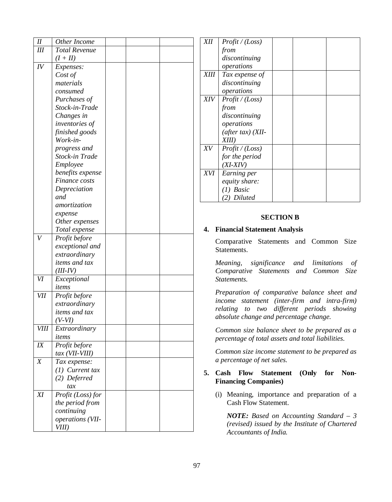| $I\!I$           | Other Income                      |  |  |
|------------------|-----------------------------------|--|--|
| III              | <b>Total Revenue</b>              |  |  |
|                  | $(I+II)$                          |  |  |
| IV               | Expenses:                         |  |  |
|                  | Cost of                           |  |  |
|                  | materials                         |  |  |
|                  | consumed                          |  |  |
|                  | Purchases of                      |  |  |
|                  | Stock-in-Trade                    |  |  |
|                  | Changes in                        |  |  |
|                  | <i>inventories of</i>             |  |  |
|                  | finished goods                    |  |  |
|                  | Work-in-                          |  |  |
|                  | progress and                      |  |  |
|                  | Stock-in Trade                    |  |  |
|                  | Employee                          |  |  |
|                  | benefits expense                  |  |  |
|                  | Finance costs                     |  |  |
|                  | Depreciation                      |  |  |
|                  | and                               |  |  |
|                  | amortization                      |  |  |
|                  | expense                           |  |  |
|                  | Other expenses                    |  |  |
|                  | Total expense                     |  |  |
| $\bar{V}$        | Profit before                     |  |  |
|                  | exceptional and                   |  |  |
|                  | extraordinary                     |  |  |
|                  | items and tax                     |  |  |
|                  | $(III-IV)$                        |  |  |
| VI               | Exceptional                       |  |  |
|                  | items                             |  |  |
| <b>VII</b>       | Profit before                     |  |  |
|                  | extraordinary                     |  |  |
|                  | <i>items and tax</i>              |  |  |
|                  | (V-VI)                            |  |  |
| <b>VIII</b>      | Extraordinary                     |  |  |
|                  | items                             |  |  |
| IX               | $\overline{\text{Profit}}$ before |  |  |
|                  | tax (VII-VIII)                    |  |  |
| $\boldsymbol{X}$ | Tax expense:                      |  |  |
|                  | $(1)$ Current tax                 |  |  |
|                  | (2) Deferred                      |  |  |
|                  | tax                               |  |  |
| XI               | Profit (Loss) for                 |  |  |
|                  | the period from                   |  |  |
|                  | continuing                        |  |  |
|                  | operations (VII-                  |  |  |
|                  | VIII)                             |  |  |

| <b>XII</b>  | Profit / (Loss)                |
|-------------|--------------------------------|
|             | from                           |
|             | discontinuing                  |
|             | operations                     |
| <b>XIII</b> | Tax expense of                 |
|             | discontinuing                  |
|             | operations                     |
| XIV         | Profit / (Loss)                |
|             | from                           |
|             | discontinuing                  |
|             | operations                     |
|             | $(after tax)$ (XII-            |
|             | XIII)                          |
| X V         | Profit / (Loss)                |
|             | for the period                 |
|             | $(XI-XIV)$                     |
| XVI         | Earning per                    |
|             | equity share:                  |
|             | (1) Basic                      |
|             | <i>Diluted</i><br>$\mathbf{2}$ |

### **SECTION B**

### **4. Financial Statement Analysis**

Comparative Statements and Common Size Statements.

*Meaning, significance and limitations of Comparative Statements and Common Size Statements.*

*Preparation of comparative balance sheet and*  income statement (inter-firm and intra-firm) *relating to two different periods showing absolute change and percentage change.*

*Common size balance sheet to be prepared as a percentage of total assets and total liabilities.* 

*Common size income statement to be prepared as a percentage of net sales.* 

### **5. Cash Flow Statement (Only for Non - Financing Companies)**

(i) Meaning, importance and preparation of a Cash Flow Statement.

*NOTE: Based on Accounting Standard – 3 (revised) issued by the Institute of Chartered Accountants of India.*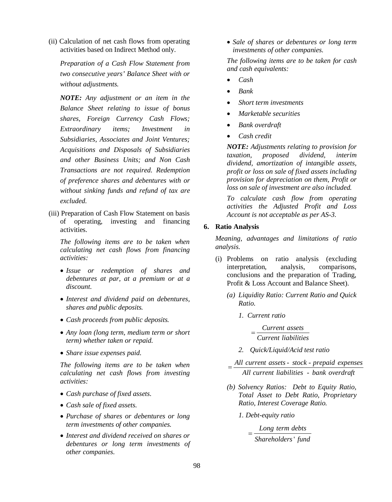(ii) Calculation of net cash flows from operating activities based on Indirect Method only.

*Preparation of a Cash Flow Statement from two consecutive years' Balance Sheet with or without adjustments.*

*NOTE: Any adjustment or an item in the Balance Sheet relating to issue of bonus shares, Foreign Currency Cash Flows; Extraordinary items; Investment in Subsidiaries, Associates and Joint Ventures; Acquisitions and Disposals of Subsidiaries and other Business Units; and Non Cash Transactions are not required. Redemption of preference shares and debentures with or without sinking funds and refund of tax are excluded.*

(iii) Preparation of Cash Flow Statement on basis of operating, investing and financing activities.

*The following items are to be taken when calculating net cash flows from financing activities:*

- *Issue or redemption of shares and debentures at par, at a premium or at a discount.*
- *Interest and dividend paid on debentures, shares and public deposits.*
- *Cash proceeds from public deposits.*
- *Any loan (long term, medium term or short term) whether taken or repaid.*
- *Share issue expenses paid.*

*The following items are to be taken when calculating net cash flows from investing activities:*

- *Cash purchase of fixed assets.*
- *Cash sale of fixed assets.*
- *Purchase of shares or debentures or long term investments of other companies.*
- *Interest and dividend received on shares or debentures or long term investments of other companies.*

 *Sale of shares or debentures or long term investments of other companies.*

*The following items are to be taken for cash and cash equivalents:*

- *Cash*
- *Bank*
- *Short term investments*
- *Marketable securities*
- *Bank overdraft*
- *Cash credit*

*NOTE: Adjustments relating to provision for taxation, proposed dividend, interim dividend, amortization of intangible assets, profit or loss on sale of fixed assets including provision for depreciation on them, Profit or loss on sale of investment are also included.*

*To calculate cash flow from operating activities the Adjusted Profit and Loss Account is not acceptable as per AS-3.* 

### **6. Ratio Analysis**

*Meaning, advantages and limitations of ratio analysis.*

- (i) Problems on ratio analysis (excluding interpretation, analysis, comparisons, conclusions and the preparation of Trading, Profit & Loss Account and Balance Sheet).
	- *(a) Liquidity Ratio: Current Ratio and Quick Ratio.*
		- *1. Current ratio*

*Current assets Current liabilities*

- *2. Quick/Liquid/Acid test ratio*
- $=\frac{All current assets stock prepaid expenses}{1 + 1 + 1 + 1 + ...}$ - *All current liabilities bank overdraft*
- *(b) Solvency Ratios: Debt to Equity Ratio, Total Asset to Debt Ratio, Proprietary Ratio, Interest Coverage Ratio.*
	- *1. Debt-equity ratio*

 *Long term debts* ' *Shareholders fund*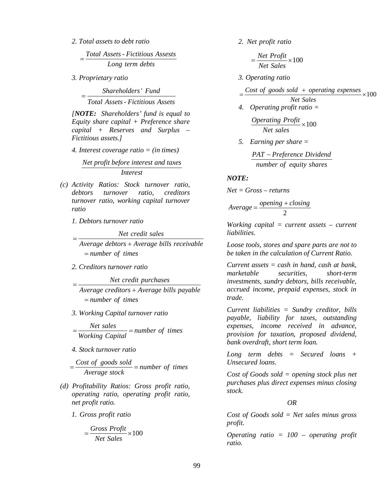*2. Total assets to debt ratio*

Assets - Fictitious A *Total Assets Fictitious Assests Long term debts*  $=$ 

*3. Proprietary ratio* 

' *Shareholders Fund* - *Total Assets Fictitious Assets*  $=$ 

*[NOTE: Shareholders' fund is equal to Equity share capital + Preference share capital + Reserves and Surplus – Fictitious assets.]*

*4. Interest coverage ratio = (in times)*

*Net profit before interest and taxes Interest*

- *(c) Activity Ratios: Stock turnover ratio, debtors turnover ratio, creditors turnover ratio, working capital turnover ratio*
	- *1. Debtors turnover ratio*

*Net credit sales*

 *Average debtors Average bills receivable*  $=$ *number of times*

*2. Creditors turnover ratio* 

*Net credit purchases*

- *Average creditors Average bills payable*  $=$ *number of times*
- *3. Working Capital turnover ratio*

 $\frac{Net \; sales}{Time \; noise}$  = number of times *Working Capital*  $=\frac{1}{\sqrt{1-\frac{1}{2}}}\frac{1}{\sqrt{1-\frac{1}{2}}}\frac{1}{\sqrt{1-\frac{1}{2}}}\frac{1}{\sqrt{1-\frac{1}{2}}}\frac{1}{\sqrt{1-\frac{1}{2}}}\frac{1}{\sqrt{1-\frac{1}{2}}}\frac{1}{\sqrt{1-\frac{1}{2}}}\frac{1}{\sqrt{1-\frac{1}{2}}}\frac{1}{\sqrt{1-\frac{1}{2}}}\frac{1}{\sqrt{1-\frac{1}{2}}}\frac{1}{\sqrt{1-\frac{1}{2}}}\frac{1}{\sqrt{1-\frac{1}{2}}}\frac{1}{\sqrt{1-\frac{1}{2}}}\frac{1}{\sqrt{1-\frac{$ 

*4. Stock turnover ratio*

 *Cost of goods sold number of times Average stock*  $=\frac{\cos\theta}{1} = h$ 

- *(d) Profitability Ratios: Gross profit ratio, operating ratio, operating profit ratio, net profit ratio.*
	- *1. Gross profit ratio*

$$
=\frac{Gross\ Profit}{Net\ Sales}\times100
$$

*2. Net profit ratio*

$$
=\frac{Net\ Profit}{Net\ Sales}\times100
$$

*3. Operating ratio*

 $=\frac{Cost\ of\ goods\ sold\ +\ operating\ expenses}{100} \times 100$ 

*Net Sales*

*4. Operating profit ratio =*

 $\frac{Operating \; Profit}{N} \times 100$ *Net sales*  $\times$ 

*5. Earning per share =*

 *number of equity shares PAT Preference Dividend*

*NOTE:* 

*Net = Gross – returns*

$$
Average = \frac{opening + closing}{2}
$$

*Working capital = current assets – current liabilities.*

*Loose tools, stores and spare parts are not to be taken in the calculation of Current Ratio.*

*Current assets = cash in hand, cash at bank, marketable securities, short-term investments, sundry debtors, bills receivable, accrued income, prepaid expenses, stock in trade.*

*Current liabilities = Sundry creditor, bills payable, liability for taxes, outstanding expenses, income received in advance, provision for taxation, proposed dividend, bank overdraft, short term loan.*

*Long term debts = Secured loans + Unsecured loans.*

*Cost of Goods sold = opening stock plus net purchases plus direct expenses minus closing stock.*

 *OR*

*Cost of Goods sold = Net sales minus gross profit.*

*Operating ratio = 100 – operating profit ratio.*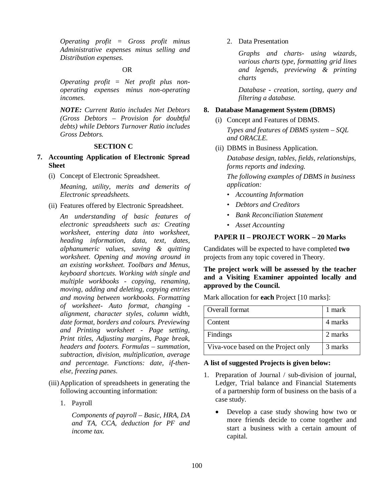*Operating profit = Gross profit minus Administrative expenses minus selling and Distribution expenses.*

## OR

*Operating profit = Net profit plus nonoperating expenses minus non-operating incomes.*

*NOTE: Current Ratio includes Net Debtors (Gross Debtors – Provision for doubtful debts) while Debtors Turnover Ratio includes Gross Debtors.*

### **SECTION C**

- **7. Accounting Application of Electronic Spread Sheet**
	- (i) Concept of Electronic Spreadsheet.

*Meaning, utility, merits and demerits of Electronic spreadsheets.*

(ii) Features offered by Electronic Spreadsheet.

*An understanding of basic features of electronic spreadsheets such as: Creating worksheet, entering data into worksheet, heading information, data, text, dates, alphanumeric values, saving & quitting worksheet. Opening and moving around in an existing worksheet. Toolbars and Menus, keyboard shortcuts. Working with single and multiple workbooks - copying, renaming, moving, adding and deleting, copying entries and moving between workbooks. Formatting of worksheet- Auto format, changing alignment, character styles, column width, date format, borders and colours. Previewing and Printing worksheet - Page setting, Print titles, Adjusting margins, Page break, headers and footers. Formulas – summation, subtraction, division, multiplication, average and percentage. Functions: date, if-thenelse, freezing panes.* 

- (iii) Application of spreadsheets in generating the following accounting information:
	- 1. Payroll

*Components of payroll – Basic, HRA, DA and TA, CCA, deduction for PF and income tax.*

2. Data Presentation

*Graphs and charts- using wizards, various charts type, formatting grid lines and legends, previewing & printing charts*

*Database - creation, sorting, query and filtering a database.*

#### **8. Database Management System (DBMS)**

(i) Concept and Features of DBMS.

*Types and features of DBMS system – SQL and ORACLE.* 

(ii) DBMS in Business Application.

*Database design, tables, fields, relationships, forms reports and indexing.*

*The following examples of DBMS in business application:*

- *Accounting Information*
- *Debtors and Creditors*
- *Bank Reconciliation Statement*
- *Asset Accounting*

### **PAPER II – PROJECT WORK – 20 Marks**

Candidates will be expected to have completed **two**  projects from any topic covered in Theory.

### **The project work will be assessed by the teacher and a Visiting Examiner appointed locally and approved by the Council.**

Mark allocation for **each** Project [10 marks]:

| Overall format                      | 1 mark  |
|-------------------------------------|---------|
| Content                             | 4 marks |
| Findings                            | 2 marks |
| Viva-voce based on the Project only | 3 marks |

#### **A list of suggested Projects is given below:**

- 1. Preparation of Journal / sub-division of journal, Ledger, Trial balance and Financial Statements of a partnership form of business on the basis of a case study.
	- Develop a case study showing how two or more friends decide to come together and start a business with a certain amount of capital.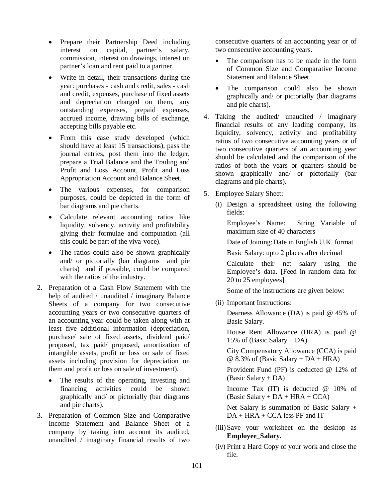- Prepare their Partnership Deed including interest on capital, partner's salary, commission, interest on drawings, interest on partner's loan and rent paid to a partner.
- Write in detail, their transactions during the year: purchases - cash and credit, sales - cash and credit, expenses, purchase of fixed assets and depreciation charged on them, any outstanding expenses, prepaid expenses, accrued income, drawing bills of exchange, accepting bills payable etc.
- From this case study developed (which should have at least 15 transactions), pass the journal entries, post them into the ledger, prepare a Trial Balance and the Trading and Profit and Loss Account, Profit and Loss Appropriation Account and Balance Sheet.
- The various expenses, for comparison purposes, could be depicted in the form of bar diagrams and pie charts.
- Calculate relevant accounting ratios like liquidity, solvency, activity and profitability giving their formulae and computation (all this could be part of the viva-voce).
- The ratios could also be shown graphically and/ or pictorially (bar diagrams and pie charts) and if possible, could be compared with the ratios of the industry.
- 2. Preparation of a Cash Flow Statement with the help of audited / unaudited / imaginary Balance Sheets of a company for two consecutive accounting years or two consecutive quarters of an accounting year could be taken along with at least five additional information (depreciation, purchase/ sale of fixed assets, dividend paid/ proposed, tax paid/ proposed, amortization of intangible assets, profit or loss on sale of fixed assets including provision for depreciation on them and profit or loss on sale of investment).
	- The results of the operating, investing and financing activities could be shown graphically and/ or pictorially (bar diagrams and pie charts).
- 3. Preparation of Common Size and Comparative Income Statement and Balance Sheet of a company by taking into account its audited, unaudited / imaginary financial results of two

consecutive quarters of an accounting year or of two consecutive accounting years.

- The comparison has to be made in the form of Common Size and Comparative Income Statement and Balance Sheet.
- The comparison could also be shown graphically and/ or pictorially (bar diagrams and pie charts).
- 4. Taking the audited/ unaudited / imaginary financial results of any leading company, its liquidity, solvency, activity and profitability ratios of two consecutive accounting years or of two consecutive quarters of an accounting year should be calculated and the comparison of the ratios of both the years or quarters should be shown graphically and/ or pictorially (bar diagrams and pie charts).
- 5. Employee Salary Sheet:
	- (i) Design a spreadsheet using the following fields:

Employee's Name: String Variable of maximum size of 40 characters

Date of Joining:Date in English U.K. format

Basic Salary: upto 2 places after decimal

Calculate their net salary using the Employee's data. [Feed in random data for 20 to 25 employees]

Some of the instructions are given below:

(ii) Important Instructions:

Dearness Allowance (DA) is paid @ 45% of Basic Salary.

House Rent Allowance (HRA) is paid @ 15% of (Basic Salary + DA)

City Compensatory Allowance (CCA) is paid  $@ 8.3\% \text{ of (Basic Salary + DA + HRA)}$ 

Provident Fund (PF) is deducted @ 12% of (Basic Salary + DA)

Income Tax (IT) is deducted @ 10% of  $(Basic$  Salary + DA + HRA + CCA)

Net Salary is summation of Basic Salary +  $DA + HRA + CCA$  less PF and IT

- (iii) Save your worksheet on the desktop as **Employee\_Salary.**
- (iv) Print a Hard Copy of your work and close the file.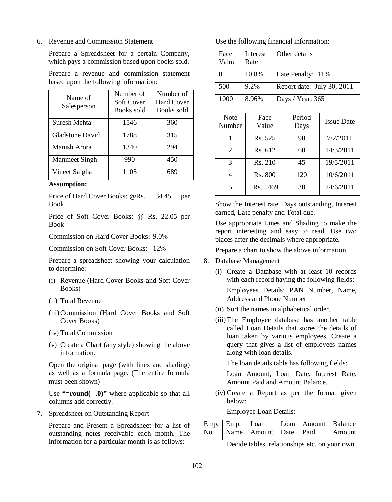6. Revenue and Commission Statement

Prepare a Spreadsheet for a certain Company, which pays a commission based upon books sold.

Prepare a revenue and commission statement based upon the following information:

| Name of<br>Salesperson | Number of<br>Soft Cover<br>Books sold | Number of<br><b>Hard Cover</b><br>Books sold |
|------------------------|---------------------------------------|----------------------------------------------|
| Suresh Mehta           | 1546                                  | 360                                          |
| Gladstone David        | 1788                                  | 315                                          |
| Manish Arora           | 1340                                  | 294                                          |
| Manmeet Singh          | 990                                   | 450                                          |
| Vineet Saighal         | 1105                                  | 689                                          |

#### **Assumption:**

Price of Hard Cover Books: @Rs. 34.45 per Book

Price of Soft Cover Books: @ Rs. 22.05 per Book

Commission on Hard Cover Books: 9.0%

Commission on Soft Cover Books: 12%

Prepare a spreadsheet showing your calculation to determine:

- (i) Revenue (Hard Cover Books and Soft Cover Books)
- (ii) Total Revenue
- (iii)Commission (Hard Cover Books and Soft Cover Books)
- (iv) Total Commission
- (v) Create a Chart (any style) showing the above information.

Open the original page (with lines and shading) as well as a formula page. (The entire formula must been shown)

Use **"=round** (0)" where applicable so that all columns add correctly.

7. Spreadsheet on Outstanding Report

Prepare and Present a Spreadsheet for a list of outstanding notes receivable each month. The information for a particular month is as follows:

Use the following financial information:

| Face<br>Value | Interest<br>Rate | Other details              |
|---------------|------------------|----------------------------|
|               | 10.8%            | Late Penalty: 11%          |
| 500           | 9.2%             | Report date: July 30, 2011 |
| 1000          | 8.96%            | Days / Year: 365           |

| <b>Note</b><br>Number       | Face<br>Value | Period<br>Days | <b>Issue Date</b> |
|-----------------------------|---------------|----------------|-------------------|
|                             | Rs. 525       | 90             | 7/2/2011          |
| $\mathcal{D}_{\mathcal{L}}$ | Rs. 612       | 60             | 14/3/2011         |
| 3                           | Rs. 210       | 45             | 19/5/2011         |
|                             | Rs. 800       | 120            | 10/6/2011         |
| $\varsigma$                 | Rs. 1469      | 30             | 24/6/2011         |

Show the Interest rate, Days outstanding, Interest earned, Late penalty and Total due.

Use appropriate Lines and Shading to make the report interesting and easy to read. Use two places after the decimals where appropriate.

Prepare a chart to show the above information.

- 8. Database Management
	- (i) Create a Database with at least 10 records with each record having the following fields: Employees Details: PAN Number, Name, Address and Phone Number
	- (ii) Sort the names in alphabetical order.
	- (iii)The Employee database has another table called Loan Details that stores the details of loan taken by various employees. Create a query that gives a list of employees names along with loan details.

The loan details table has following fields:

Loan Amount, Loan Date, Interest Rate, Amount Paid and Amount Balance.

(iv) Create a Report as per the format given below:

Employee Loan Details:

| Emp. Emp. Loan |  | Loan   Amount   Balance          |  |
|----------------|--|----------------------------------|--|
|                |  | No. Name Amount Date Paid Amount |  |

Decide tables, relationships etc. on your own.